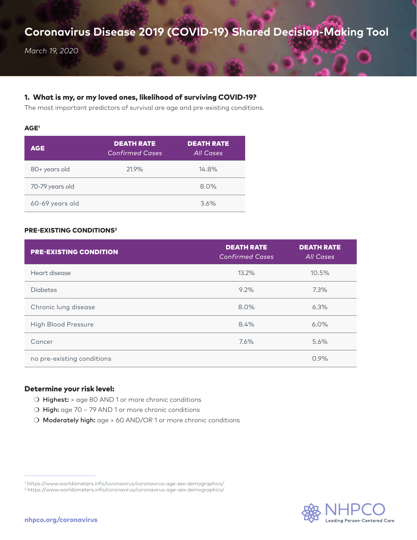# **Coronavirus Disease 2019 (COVID-19) Shared Decision-Making Tool**

*March 19, 2020*

## 1. What is my, or my loved ones, likelihood of surviving COVID-19?

The most important predictors of survival are age and pre-existing conditions.

#### AGE1

| <b>AGE</b>      | <b>DEATH RATE</b><br><b>Confirmed Cases</b> | <b>DEATH RATE</b><br><b>All Cases</b> |
|-----------------|---------------------------------------------|---------------------------------------|
| 80+ years old   | 21.9%                                       | 14.8%                                 |
| 70-79 years old |                                             | 8.0%                                  |
| 60-69 years old |                                             | 3.6%                                  |

## PRE-EXISTING CONDITIONS2

| <b>PRE-EXISTING CONDITION</b> | <b>DEATH RATE</b><br><b>Confirmed Cases</b> | <b>DEATH RATE</b><br>All Cases |
|-------------------------------|---------------------------------------------|--------------------------------|
| Heart disease                 | 13.2%                                       | 10.5%                          |
| <b>Diabetes</b>               | 9.2%                                        | 7.3%                           |
| Chronic lung disease          | 8.0%                                        | 6.3%                           |
| <b>High Blood Pressure</b>    | 8.4%                                        | 6.0%                           |
| Cancer                        | 7.6%                                        | 5.6%                           |
| no pre-existing conditions    |                                             | 0.9%                           |

### Determine your risk level:

- $\bigcirc$  Highest: > age 80 AND 1 or more chronic conditions
- $\bigcirc$  High: age 70 79 AND 1 or more chronic conditions
- O Moderately high: age > 60 AND/OR 1 or more chronic conditions